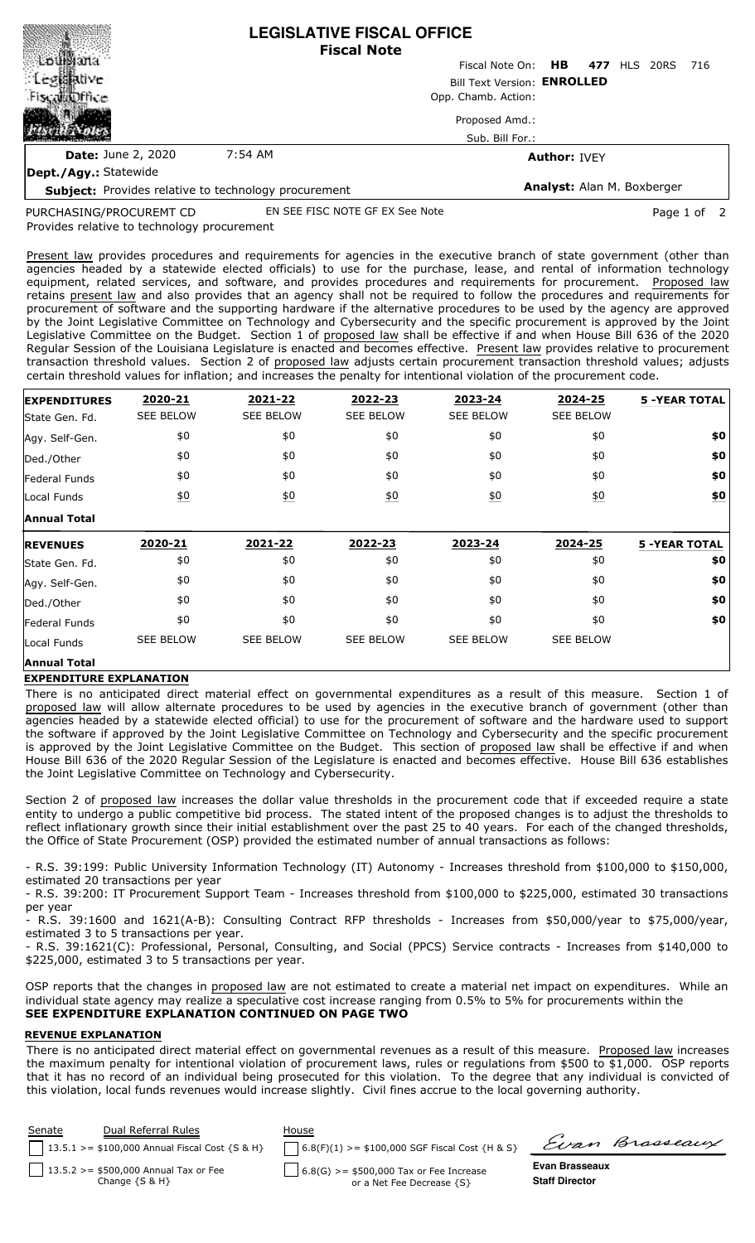|                                                      | <b>LEGISLATIVE FISCAL OFFICE</b><br><b>Fiscal Note</b> |                                     |  |  |  |
|------------------------------------------------------|--------------------------------------------------------|-------------------------------------|--|--|--|
|                                                      |                                                        | Fiscal Note On: HB 477 HLS 20RS 716 |  |  |  |
| <b>Legislative</b>                                   | Bill Text Version: ENROLLED<br>Opp. Chamb. Action:     |                                     |  |  |  |
| FiscalaDffice                                        |                                                        |                                     |  |  |  |
|                                                      |                                                        | Proposed Amd.:                      |  |  |  |
|                                                      |                                                        | Sub. Bill For.:                     |  |  |  |
| <b>Date: June 2, 2020</b>                            | 7:54 AM                                                | <b>Author: IVEY</b>                 |  |  |  |
| Dept./Agy.: Statewide                                |                                                        |                                     |  |  |  |
| Subject: Provides relative to technology procurement |                                                        | <b>Analyst: Alan M. Boxberger</b>   |  |  |  |

**Subject:** Provides relative to technology procurement

PURCHASING/PROCUREMT CD

EN SEE FISC NOTE GF EX See Note **Page 1 of 2** 

Provides relative to technology procurement

Present law provides procedures and requirements for agencies in the executive branch of state government (other than agencies headed by a statewide elected officials) to use for the purchase, lease, and rental of information technology equipment, related services, and software, and provides procedures and requirements for procurement. Proposed law retains present law and also provides that an agency shall not be required to follow the procedures and requirements for procurement of software and the supporting hardware if the alternative procedures to be used by the agency are approved by the Joint Legislative Committee on Technology and Cybersecurity and the specific procurement is approved by the Joint Legislative Committee on the Budget. Section 1 of proposed law shall be effective if and when House Bill 636 of the 2020 Regular Session of the Louisiana Legislature is enacted and becomes effective. Present law provides relative to procurement transaction threshold values. Section 2 of proposed law adjusts certain procurement transaction threshold values; adjusts certain threshold values for inflation; and increases the penalty for intentional violation of the procurement code.

| <b>EXPENDITURES</b> | 2020-21          | 2021-22           | 2022-23          | 2023-24          | 2024-25          | <b>5 -YEAR TOTAL</b> |
|---------------------|------------------|-------------------|------------------|------------------|------------------|----------------------|
| State Gen. Fd.      | <b>SEE BELOW</b> | <b>SEE BELOW</b>  | <b>SEE BELOW</b> | <b>SEE BELOW</b> | <b>SEE BELOW</b> |                      |
| Agy. Self-Gen.      | \$0              | \$0               | \$0              | \$0              | \$0              | \$0                  |
| Ded./Other          | \$0              | \$0               | \$0              | \$0              | \$0              | \$0                  |
| Federal Funds       | \$0              | \$0               | \$0              | \$0              | \$0              | \$0                  |
| Local Funds         | $\underline{50}$ | $\underline{\$0}$ | $\underline{50}$ | $\underline{50}$ | $\underline{50}$ | $\underline{\$0}$    |
| <b>Annual Total</b> |                  |                   |                  |                  |                  |                      |
|                     |                  |                   |                  |                  |                  |                      |
| <b>REVENUES</b>     | 2020-21          | 2021-22           | 2022-23          | 2023-24          | 2024-25          | <b>5 -YEAR TOTAL</b> |
| State Gen. Fd.      | \$0              | \$0               | \$0              | \$0              | \$0              | \$0                  |
| Agy. Self-Gen.      | \$0              | \$0               | \$0              | \$0              | \$0              | \$0                  |
| Ded./Other          | \$0              | \$0               | \$0              | \$0              | \$0              | \$0                  |
| Federal Funds       | \$0              | \$0               | \$0              | \$0              | \$0              | \$0                  |
| Local Funds         | <b>SEE BELOW</b> | <b>SEE BELOW</b>  | <b>SEE BELOW</b> | <b>SEE BELOW</b> | <b>SEE BELOW</b> |                      |

## **EXPENDITURE EXPLANATION**

There is no anticipated direct material effect on governmental expenditures as a result of this measure. Section 1 of proposed law will allow alternate procedures to be used by agencies in the executive branch of government (other than agencies headed by a statewide elected official) to use for the procurement of software and the hardware used to support the software if approved by the Joint Legislative Committee on Technology and Cybersecurity and the specific procurement is approved by the Joint Legislative Committee on the Budget. This section of proposed law shall be effective if and when House Bill 636 of the 2020 Regular Session of the Legislature is enacted and becomes effective. House Bill 636 establishes the Joint Legislative Committee on Technology and Cybersecurity.

Section 2 of proposed law increases the dollar value thresholds in the procurement code that if exceeded require a state entity to undergo a public competitive bid process. The stated intent of the proposed changes is to adjust the thresholds to reflect inflationary growth since their initial establishment over the past 25 to 40 years. For each of the changed thresholds, the Office of State Procurement (OSP) provided the estimated number of annual transactions as follows:

- R.S. 39:199: Public University Information Technology (IT) Autonomy - Increases threshold from \$100,000 to \$150,000, estimated 20 transactions per year

- R.S. 39:200: IT Procurement Support Team - Increases threshold from \$100,000 to \$225,000, estimated 30 transactions per year

- R.S. 39:1600 and 1621(A-B): Consulting Contract RFP thresholds - Increases from \$50,000/year to \$75,000/year, estimated 3 to 5 transactions per year.

- R.S. 39:1621(C): Professional, Personal, Consulting, and Social (PPCS) Service contracts - Increases from \$140,000 to \$225,000, estimated 3 to 5 transactions per year.

OSP reports that the changes in proposed law are not estimated to create a material net impact on expenditures. While an individual state agency may realize a speculative cost increase ranging from 0.5% to 5% for procurements within the **SEE EXPENDITURE EXPLANATION CONTINUED ON PAGE TWO**

## **REVENUE EXPLANATION**

There is no anticipated direct material effect on governmental revenues as a result of this measure. Proposed law increases the maximum penalty for intentional violation of procurement laws, rules or regulations from \$500 to \$1,000. OSP reports that it has no record of an individual being prosecuted for this violation. To the degree that any individual is convicted of this violation, local funds revenues would increase slightly. Civil fines accrue to the local governing authority.

| <b>Senate</b> | Dual Referral Rules<br>  13.5.1 > = \$100,000 Annual Fiscal Cost {S & H} | House<br>$6.8(F)(1)$ >= \$100,000 SGF Fiscal Cost {H & S}              |                                         | Evan Brasseaux |
|---------------|--------------------------------------------------------------------------|------------------------------------------------------------------------|-----------------------------------------|----------------|
|               | $13.5.2 > = $500,000$ Annual Tax or Fee<br>Change $\{S \& H\}$           | $6.8(G) > = $500,000$ Tax or Fee Increase<br>or a Net Fee Decrease {S} | Evan Brasseaux<br><b>Staff Director</b> |                |